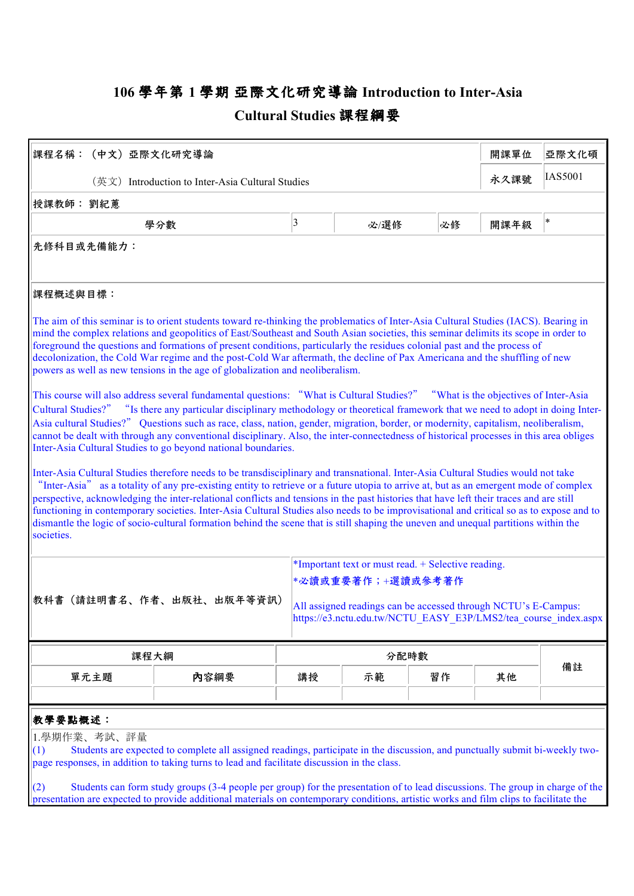## **106 學年第 1 學期 亞際⽂化研究導論 Introduction to Inter-Asia Cultural Studies 課程綱要**

| 課程名稱: (中文) 亞際文化研究導論                                                                                                                                                                                                                                                                                                                                                                                                                                                                                                                                                                                                                                                                                                                                                                                                                                                                                                                                                                                                                                                                                                                                                                                                                                                                                                                                                                                                                                                                                                                                                                                                                                                                                                                                                                                                                                                                                                                                                      |                                                                                                                                                                                                                                                               |                         |      |      | 開課單位           | 亞際文化碩  |
|--------------------------------------------------------------------------------------------------------------------------------------------------------------------------------------------------------------------------------------------------------------------------------------------------------------------------------------------------------------------------------------------------------------------------------------------------------------------------------------------------------------------------------------------------------------------------------------------------------------------------------------------------------------------------------------------------------------------------------------------------------------------------------------------------------------------------------------------------------------------------------------------------------------------------------------------------------------------------------------------------------------------------------------------------------------------------------------------------------------------------------------------------------------------------------------------------------------------------------------------------------------------------------------------------------------------------------------------------------------------------------------------------------------------------------------------------------------------------------------------------------------------------------------------------------------------------------------------------------------------------------------------------------------------------------------------------------------------------------------------------------------------------------------------------------------------------------------------------------------------------------------------------------------------------------------------------------------------------|---------------------------------------------------------------------------------------------------------------------------------------------------------------------------------------------------------------------------------------------------------------|-------------------------|------|------|----------------|--------|
| (英文) Introduction to Inter-Asia Cultural Studies                                                                                                                                                                                                                                                                                                                                                                                                                                                                                                                                                                                                                                                                                                                                                                                                                                                                                                                                                                                                                                                                                                                                                                                                                                                                                                                                                                                                                                                                                                                                                                                                                                                                                                                                                                                                                                                                                                                         |                                                                                                                                                                                                                                                               |                         |      | 永久課號 | <b>IAS5001</b> |        |
| 授課教師:劉紀蕙                                                                                                                                                                                                                                                                                                                                                                                                                                                                                                                                                                                                                                                                                                                                                                                                                                                                                                                                                                                                                                                                                                                                                                                                                                                                                                                                                                                                                                                                                                                                                                                                                                                                                                                                                                                                                                                                                                                                                                 |                                                                                                                                                                                                                                                               |                         |      |      |                |        |
|                                                                                                                                                                                                                                                                                                                                                                                                                                                                                                                                                                                                                                                                                                                                                                                                                                                                                                                                                                                                                                                                                                                                                                                                                                                                                                                                                                                                                                                                                                                                                                                                                                                                                                                                                                                                                                                                                                                                                                          | 學分數                                                                                                                                                                                                                                                           | $\overline{\mathbf{3}}$ | 必/選修 | 必修   | 開課年級           | $\ast$ |
| 先修科目或先備能力:                                                                                                                                                                                                                                                                                                                                                                                                                                                                                                                                                                                                                                                                                                                                                                                                                                                                                                                                                                                                                                                                                                                                                                                                                                                                                                                                                                                                                                                                                                                                                                                                                                                                                                                                                                                                                                                                                                                                                               |                                                                                                                                                                                                                                                               |                         |      |      |                |        |
| 課程概述與目標:                                                                                                                                                                                                                                                                                                                                                                                                                                                                                                                                                                                                                                                                                                                                                                                                                                                                                                                                                                                                                                                                                                                                                                                                                                                                                                                                                                                                                                                                                                                                                                                                                                                                                                                                                                                                                                                                                                                                                                 |                                                                                                                                                                                                                                                               |                         |      |      |                |        |
| The aim of this seminar is to orient students toward re-thinking the problematics of Inter-Asia Cultural Studies (IACS). Bearing in<br>mind the complex relations and geopolitics of East/Southeast and South Asian societies, this seminar delimits its scope in order to<br>foreground the questions and formations of present conditions, particularly the residues colonial past and the process of<br>decolonization, the Cold War regime and the post-Cold War aftermath, the decline of Pax Americana and the shuffling of new<br>powers as well as new tensions in the age of globalization and neoliberalism.<br>This course will also address several fundamental questions: "What is Cultural Studies?" "What is the objectives of Inter-Asia<br>Cultural Studies?" "Is there any particular disciplinary methodology or theoretical framework that we need to adopt in doing Inter-<br>Asia cultural Studies?" Questions such as race, class, nation, gender, migration, border, or modernity, capitalism, neoliberalism,<br>cannot be dealt with through any conventional disciplinary. Also, the inter-connectedness of historical processes in this area obliges<br>Inter-Asia Cultural Studies to go beyond national boundaries.<br>Inter-Asia Cultural Studies therefore needs to be transdisciplinary and transnational. Inter-Asia Cultural Studies would not take<br>"Inter-Asia" as a totality of any pre-existing entity to retrieve or a future utopia to arrive at, but as an emergent mode of complex<br>perspective, acknowledging the inter-relational conflicts and tensions in the past histories that have left their traces and are still<br>functioning in contemporary societies. Inter-Asia Cultural Studies also needs to be improvisational and critical so as to expose and to<br>dismantle the logic of socio-cultural formation behind the scene that is still shaping the uneven and unequal partitions within the<br>societies. |                                                                                                                                                                                                                                                               |                         |      |      |                |        |
|                                                                                                                                                                                                                                                                                                                                                                                                                                                                                                                                                                                                                                                                                                                                                                                                                                                                                                                                                                                                                                                                                                                                                                                                                                                                                                                                                                                                                                                                                                                                                                                                                                                                                                                                                                                                                                                                                                                                                                          | *Important text or must read. + Selective reading.                                                                                                                                                                                                            |                         |      |      |                |        |
| *必讀或重要著作;+選讀或參考著作<br>教科書(請註明書名、作者、出版社、出版年等資訊)<br>All assigned readings can be accessed through NCTU's E-Campus:<br>https://e3.nctu.edu.tw/NCTU_EASY_E3P/LMS2/tea_course_index.aspx                                                                                                                                                                                                                                                                                                                                                                                                                                                                                                                                                                                                                                                                                                                                                                                                                                                                                                                                                                                                                                                                                                                                                                                                                                                                                                                                                                                                                                                                                                                                                                                                                                                                                                                                                                                       |                                                                                                                                                                                                                                                               |                         |      |      |                |        |
| 課程大綱                                                                                                                                                                                                                                                                                                                                                                                                                                                                                                                                                                                                                                                                                                                                                                                                                                                                                                                                                                                                                                                                                                                                                                                                                                                                                                                                                                                                                                                                                                                                                                                                                                                                                                                                                                                                                                                                                                                                                                     |                                                                                                                                                                                                                                                               | 分配時數                    |      |      |                |        |
| 單元主題                                                                                                                                                                                                                                                                                                                                                                                                                                                                                                                                                                                                                                                                                                                                                                                                                                                                                                                                                                                                                                                                                                                                                                                                                                                                                                                                                                                                                                                                                                                                                                                                                                                                                                                                                                                                                                                                                                                                                                     | 内容綱要                                                                                                                                                                                                                                                          | 講授                      | 示範   | 習作   | 其他             | 備註     |
| 教學要點概述:<br>1.學期作業、考試、評量<br>(1)<br>page responses, in addition to taking turns to lead and facilitate discussion in the class.<br>(2)<br>presentation are expected to provide additional materials on contemporary conditions, artistic works and film clips to facilitate the                                                                                                                                                                                                                                                                                                                                                                                                                                                                                                                                                                                                                                                                                                                                                                                                                                                                                                                                                                                                                                                                                                                                                                                                                                                                                                                                                                                                                                                                                                                                                                                                                                                                                            | Students are expected to complete all assigned readings, participate in the discussion, and punctually submit bi-weekly two-<br>Students can form study groups (3-4 people per group) for the presentation of to lead discussions. The group in charge of the |                         |      |      |                |        |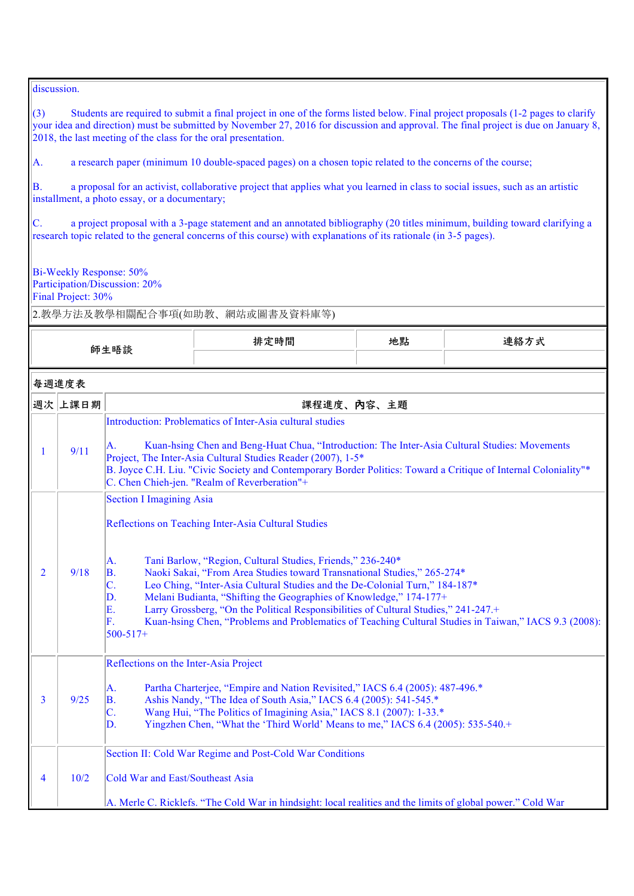discussion.

 $(3)$  Students are required to submit a final project in one of the forms listed below. Final project proposals (1-2 pages to clarify your idea and direction) must be submitted by November 27, 2016 for discussion and approval. The final project is due on January 8, 2018, the last meeting of the class for the oral presentation.

A. a research paper (minimum 10 double-spaced pages) on a chosen topic related to the concerns of the course;

B. a proposal for an activist, collaborative project that applies what you learned in class to social issues, such as an artistic installment, a photo essay, or a documentary;

 $\vert$ C. a project proposal with a 3-page statement and an annotated bibliography (20 titles minimum, building toward clarifying a research topic related to the general concerns of this course) with explanations of its rationale (in 3-5 pages).

Bi-Weekly Response: 50% Participation/Discussion: 20%

Final Project: 30%

| 師生晤談           |         |                                                                                                                                                                                                                                                                                                                                                                                                     | 排定時間                                                                                                                                                                                                                                                                                                                                                                                                                                                                                                                                              | 地點         | 連絡方式 |
|----------------|---------|-----------------------------------------------------------------------------------------------------------------------------------------------------------------------------------------------------------------------------------------------------------------------------------------------------------------------------------------------------------------------------------------------------|---------------------------------------------------------------------------------------------------------------------------------------------------------------------------------------------------------------------------------------------------------------------------------------------------------------------------------------------------------------------------------------------------------------------------------------------------------------------------------------------------------------------------------------------------|------------|------|
|                | 每週進度表   |                                                                                                                                                                                                                                                                                                                                                                                                     |                                                                                                                                                                                                                                                                                                                                                                                                                                                                                                                                                   |            |      |
|                | 週次 上課日期 |                                                                                                                                                                                                                                                                                                                                                                                                     |                                                                                                                                                                                                                                                                                                                                                                                                                                                                                                                                                   | 課程進度、內容、主題 |      |
| $\mathbf{1}$   | 9/11    | Introduction: Problematics of Inter-Asia cultural studies<br>Kuan-hsing Chen and Beng-Huat Chua, "Introduction: The Inter-Asia Cultural Studies: Movements<br>А.<br>Project, The Inter-Asia Cultural Studies Reader (2007), 1-5*<br>B. Joyce C.H. Liu. "Civic Society and Contemporary Border Politics: Toward a Critique of Internal Coloniality"*<br>C. Chen Chieh-jen. "Realm of Reverberation"+ |                                                                                                                                                                                                                                                                                                                                                                                                                                                                                                                                                   |            |      |
| $\overline{2}$ | 9/18    | <b>Section I Imagining Asia</b><br>А.<br>B.<br>$\overline{C}$ .<br>D.<br>E.<br>F.<br>$500 - 517 +$                                                                                                                                                                                                                                                                                                  | Reflections on Teaching Inter-Asia Cultural Studies<br>Tani Barlow, "Region, Cultural Studies, Friends," 236-240*<br>Naoki Sakai, "From Area Studies toward Transnational Studies," 265-274*<br>Leo Ching, "Inter-Asia Cultural Studies and the De-Colonial Turn," 184-187*<br>Melani Budianta, "Shifting the Geographies of Knowledge," 174-177+<br>Larry Grossberg, "On the Political Responsibilities of Cultural Studies," 241-247.+<br>Kuan-hsing Chen, "Problems and Problematics of Teaching Cultural Studies in Taiwan," IACS 9.3 (2008): |            |      |
| 3              | 9/25    | Reflections on the Inter-Asia Project<br>A.<br>B.<br>$\overline{C}$ .<br>D.                                                                                                                                                                                                                                                                                                                         | Partha Charterjee, "Empire and Nation Revisited," IACS 6.4 (2005): 487-496.*<br>Ashis Nandy, "The Idea of South Asia," IACS 6.4 (2005): 541-545.*<br>Wang Hui, "The Politics of Imagining Asia," IACS 8.1 (2007): 1-33.*<br>Yingzhen Chen, "What the 'Third World' Means to me," IACS 6.4 (2005): 535-540.+                                                                                                                                                                                                                                       |            |      |
| 4              | 10/2    | <b>Cold War and East/Southeast Asia</b>                                                                                                                                                                                                                                                                                                                                                             | Section II: Cold War Regime and Post-Cold War Conditions<br>A. Merle C. Ricklefs. "The Cold War in hindsight: local realities and the limits of global power." Cold War                                                                                                                                                                                                                                                                                                                                                                           |            |      |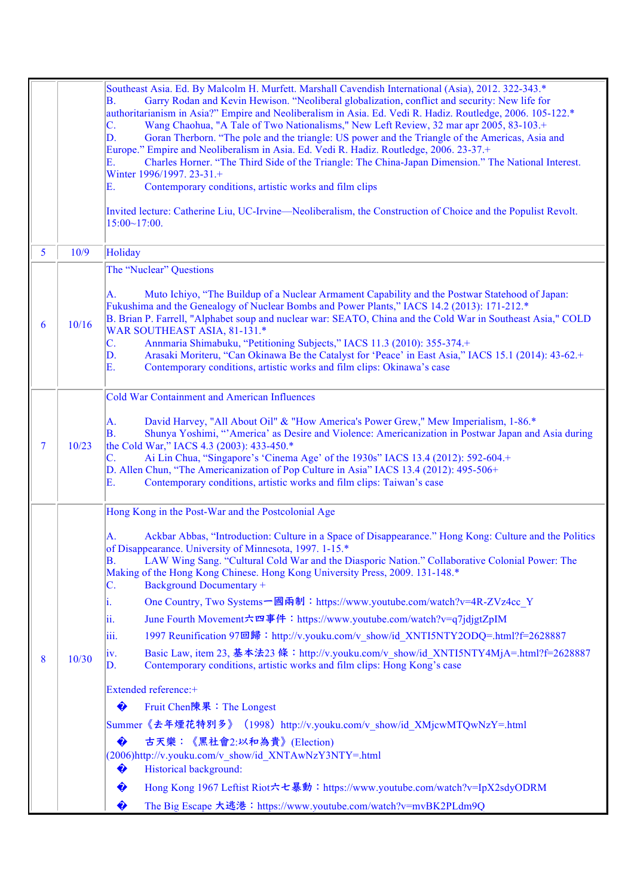|   |       | Southeast Asia. Ed. By Malcolm H. Murfett. Marshall Cavendish International (Asia), 2012. 322-343.*<br>Garry Rodan and Kevin Hewison. "Neoliberal globalization, conflict and security: New life for<br>$\mathbf{B}$ .<br>authoritarianism in Asia?" Empire and Neoliberalism in Asia. Ed. Vedi R. Hadiz. Routledge, 2006. 105-122.*<br>Wang Chaohua, "A Tale of Two Nationalisms," New Left Review, 32 mar apr 2005, 83-103.+<br>$\mathbb{C}$ .<br>D.<br>Goran Therborn. "The pole and the triangle: US power and the Triangle of the Americas, Asia and<br>Europe." Empire and Neoliberalism in Asia. Ed. Vedi R. Hadiz. Routledge, 2006. 23-37.+<br>Charles Horner. "The Third Side of the Triangle: The China-Japan Dimension." The National Interest.<br>Е.<br>Winter 1996/1997. 23-31.+<br>Contemporary conditions, artistic works and film clips<br>Е.<br>Invited lecture: Catherine Liu, UC-Irvine—Neoliberalism, the Construction of Choice and the Populist Revolt.<br>$15:00~17:00$ .                                                                                                                                        |
|---|-------|-----------------------------------------------------------------------------------------------------------------------------------------------------------------------------------------------------------------------------------------------------------------------------------------------------------------------------------------------------------------------------------------------------------------------------------------------------------------------------------------------------------------------------------------------------------------------------------------------------------------------------------------------------------------------------------------------------------------------------------------------------------------------------------------------------------------------------------------------------------------------------------------------------------------------------------------------------------------------------------------------------------------------------------------------------------------------------------------------------------------------------------------|
| 5 | 10/9  | Holiday                                                                                                                                                                                                                                                                                                                                                                                                                                                                                                                                                                                                                                                                                                                                                                                                                                                                                                                                                                                                                                                                                                                                 |
|   |       | The "Nuclear" Questions                                                                                                                                                                                                                                                                                                                                                                                                                                                                                                                                                                                                                                                                                                                                                                                                                                                                                                                                                                                                                                                                                                                 |
| 6 | 10/16 | Muto Ichiyo, "The Buildup of a Nuclear Armament Capability and the Postwar Statehood of Japan:<br>А.<br>Fukushima and the Genealogy of Nuclear Bombs and Power Plants," IACS 14.2 (2013): 171-212.*<br>B. Brian P. Farrell, "Alphabet soup and nuclear war: SEATO, China and the Cold War in Southeast Asia," COLD<br>WAR SOUTHEAST ASIA, 81-131.*<br>Annmaria Shimabuku, "Petitioning Subjects," IACS 11.3 (2010): 355-374.+<br>C.<br>Arasaki Moriteru, "Can Okinawa Be the Catalyst for 'Peace' in East Asia," IACS 15.1 (2014): 43-62.+<br>$\mathbf D$ .<br>Contemporary conditions, artistic works and film clips: Okinawa's case<br>E.                                                                                                                                                                                                                                                                                                                                                                                                                                                                                             |
|   |       | Cold War Containment and American Influences                                                                                                                                                                                                                                                                                                                                                                                                                                                                                                                                                                                                                                                                                                                                                                                                                                                                                                                                                                                                                                                                                            |
| 7 | 10/23 | David Harvey, "All About Oil" & "How America's Power Grew," Mew Imperialism, 1-86.*<br>A.<br>Shunya Yoshimi, "'America' as Desire and Violence: Americanization in Postwar Japan and Asia during<br>$\mathbf{B}$ .<br>the Cold War," IACS 4.3 (2003): 433-450.*<br>Ai Lin Chua, "Singapore's 'Cinema Age' of the 1930s" IACS 13.4 (2012): 592-604.+<br>C.<br>D. Allen Chun, "The Americanization of Pop Culture in Asia" IACS 13.4 (2012): 495-506+<br>Contemporary conditions, artistic works and film clips: Taiwan's case<br>E.                                                                                                                                                                                                                                                                                                                                                                                                                                                                                                                                                                                                      |
|   |       | Hong Kong in the Post-War and the Postcolonial Age                                                                                                                                                                                                                                                                                                                                                                                                                                                                                                                                                                                                                                                                                                                                                                                                                                                                                                                                                                                                                                                                                      |
| 8 | 10/30 | Ackbar Abbas, "Introduction: Culture in a Space of Disappearance." Hong Kong: Culture and the Politics<br>A.<br>of Disappearance. University of Minnesota, 1997. 1-15.*<br>LAW Wing Sang. "Cultural Cold War and the Diasporic Nation." Collaborative Colonial Power: The<br>$\mathbf{B}$ .<br>Making of the Hong Kong Chinese. Hong Kong University Press, 2009. 131-148.*<br><b>Background Documentary +</b><br>IC.<br>One Country, Two Systems 一國兩制:https://www.youtube.com/watch?v=4R-ZVz4cc Y<br>1.<br>June Fourth Movement六四事件:https://www.youtube.com/watch?v=q7jdjgtZpIM<br>11.<br>1997 Reunification 97回歸: http://v.youku.com/v_show/id_XNTI5NTY2ODQ=.html?f=2628887<br>111.<br>Basic Law, item 23, 基本法23 條: http://v.youku.com/v_show/id_XNTI5NTY4MjA=.html?f=2628887<br> 1V <br>Contemporary conditions, artistic works and film clips: Hong Kong's case<br>ID.<br>Extended reference:+<br>♦<br>Fruit Chen陳果: The Longest<br> Summer《去年煙花特別多》(1998)http://v.youku.com/v_show/id_XMjcwMTQwNzY=.html<br>古天樂:《黑社會2:以和為貴》(Election)<br>♦<br>(2006)http://v.youku.com/v show/id XNTAwNzY3NTY=.html<br>Historical background:<br>♦ |
|   |       | Hong Kong 1967 Leftist Riot六七暴動: https://www.youtube.com/watch?v=IpX2sdyODRM<br>♦                                                                                                                                                                                                                                                                                                                                                                                                                                                                                                                                                                                                                                                                                                                                                                                                                                                                                                                                                                                                                                                       |
|   |       | The Big Escape 大逃港: https://www.youtube.com/watch?v=mvBK2PLdm9Q<br>♦                                                                                                                                                                                                                                                                                                                                                                                                                                                                                                                                                                                                                                                                                                                                                                                                                                                                                                                                                                                                                                                                    |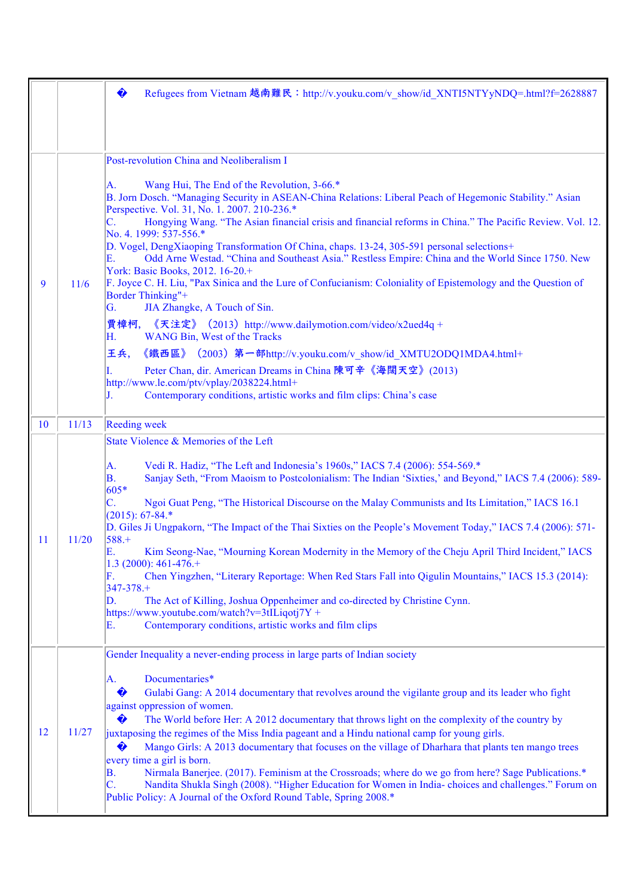|               |       | ♦<br>Refugees from Vietnam 越南難民:http://v.youku.com/v_show/id_XNTI5NTYyNDQ=.html?f=2628887                                                                                                                                                                                                                                                                                                                                                                                                                                                                                                                                                                                                                                                                                                                                                                                                                                                                                                                                                                                                                                                                                                                    |
|---------------|-------|--------------------------------------------------------------------------------------------------------------------------------------------------------------------------------------------------------------------------------------------------------------------------------------------------------------------------------------------------------------------------------------------------------------------------------------------------------------------------------------------------------------------------------------------------------------------------------------------------------------------------------------------------------------------------------------------------------------------------------------------------------------------------------------------------------------------------------------------------------------------------------------------------------------------------------------------------------------------------------------------------------------------------------------------------------------------------------------------------------------------------------------------------------------------------------------------------------------|
| 9             | 11/6  | Post-revolution China and Neoliberalism I<br>Wang Hui, The End of the Revolution, 3-66.*<br>A.<br>B. Jorn Dosch. "Managing Security in ASEAN-China Relations: Liberal Peach of Hegemonic Stability." Asian<br>Perspective. Vol. 31, No. 1. 2007. 210-236.*<br>Hongying Wang. "The Asian financial crisis and financial reforms in China." The Pacific Review. Vol. 12.<br>No. 4. 1999: 537-556.*<br>D. Vogel, DengXiaoping Transformation Of China, chaps. 13-24, 305-591 personal selections+<br>Odd Arne Westad. "China and Southeast Asia." Restless Empire: China and the World Since 1750. New<br>Е.<br>York: Basic Books, 2012. 16-20.+<br>F. Joyce C. H. Liu, "Pax Sinica and the Lure of Confucianism: Coloniality of Epistemology and the Question of<br><b>Border Thinking"+</b><br>JIA Zhangke, A Touch of Sin.<br>G.<br>賈樟柯,<br>《天注定》 (2013) http://www.dailymotion.com/video/x2ued4q +<br>WANG Bin, West of the Tracks<br>Η.<br>《鐵西區》 (2003) 第一部http://v.youku.com/v show/id XMTU2ODQ1MDA4.html+<br>王兵,<br>Peter Chan, dir. American Dreams in China 陳可辛《海闊天空》(2013)<br>http://www.le.com/ptv/vplay/2038224.html+<br>Contemporary conditions, artistic works and film clips: China's case<br>J. |
| 10            | 11/13 | <b>Reeding week</b>                                                                                                                                                                                                                                                                                                                                                                                                                                                                                                                                                                                                                                                                                                                                                                                                                                                                                                                                                                                                                                                                                                                                                                                          |
| <sup>11</sup> | 11/20 | State Violence & Memories of the Left<br>Vedi R. Hadiz, "The Left and Indonesia's 1960s," IACS 7.4 (2006): 554-569.*<br>А.<br>Sanjay Seth, "From Maoism to Postcolonialism: The Indian 'Sixties,' and Beyond," IACS 7.4 (2006): 589-<br>В.<br>605*<br>C.<br>Ngoi Guat Peng, "The Historical Discourse on the Malay Communists and Its Limitation," IACS 16.1<br>$(2015): 67-84.*$<br>D. Giles Ji Ungpakorn, "The Impact of the Thai Sixties on the People's Movement Today," IACS 7.4 (2006): 571-<br>$588. +$<br>E<br>Kim Seong-Nae, "Mourning Korean Modernity in the Memory of the Cheju April Third Incident," IACS<br>1.3 (2000): $461-476+$<br>Chen Yingzhen, "Literary Reportage: When Red Stars Fall into Qigulin Mountains," IACS 15.3 (2014):<br>F.<br>$347 - 378 +$<br>The Act of Killing, Joshua Oppenheimer and co-directed by Christine Cynn.<br>D.<br>https://www.youtube.com/watch?v=3tILiqotj7Y +<br>Contemporary conditions, artistic works and film clips<br>Е.                                                                                                                                                                                                                           |
| 12            | 11/27 | Gender Inequality a never-ending process in large parts of Indian society<br>Documentaries*<br>A.<br>♦<br>Gulabi Gang: A 2014 documentary that revolves around the vigilante group and its leader who fight<br>against oppression of women.<br>♦<br>The World before Her: A 2012 documentary that throws light on the complexity of the country by<br>juxtaposing the regimes of the Miss India pageant and a Hindu national camp for young girls.<br>Mango Girls: A 2013 documentary that focuses on the village of Dharhara that plants ten mango trees<br>♦<br>every time a girl is born.<br>Nirmala Banerjee. (2017). Feminism at the Crossroads; where do we go from here? Sage Publications.*<br>В.<br>Nandita Shukla Singh (2008). "Higher Education for Women in India-choices and challenges." Forum on<br>C.<br>Public Policy: A Journal of the Oxford Round Table, Spring 2008.*                                                                                                                                                                                                                                                                                                                  |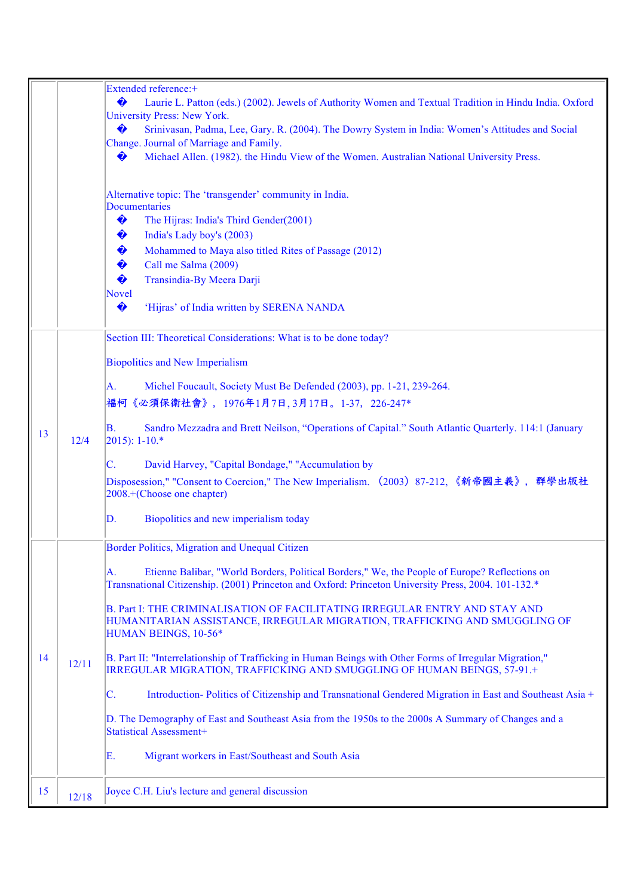|    |       | Extended reference:+<br>♦<br>Laurie L. Patton (eds.) (2002). Jewels of Authority Women and Textual Tradition in Hindu India. Oxford<br><b>University Press: New York.</b><br>♦<br>Srinivasan, Padma, Lee, Gary. R. (2004). The Dowry System in India: Women's Attitudes and Social<br>Change. Journal of Marriage and Family.<br>Michael Allen. (1982). the Hindu View of the Women. Australian National University Press.<br>♦                                                                                                                                                                                                                                                                                                                                                                                                                                                                                                                            |
|----|-------|------------------------------------------------------------------------------------------------------------------------------------------------------------------------------------------------------------------------------------------------------------------------------------------------------------------------------------------------------------------------------------------------------------------------------------------------------------------------------------------------------------------------------------------------------------------------------------------------------------------------------------------------------------------------------------------------------------------------------------------------------------------------------------------------------------------------------------------------------------------------------------------------------------------------------------------------------------|
|    |       | Alternative topic: The 'transgender' community in India.<br><b>Documentaries</b><br>♦<br>The Hijras: India's Third Gender(2001)<br>♦<br>India's Lady boy's (2003)<br>♦<br>Mohammed to Maya also titled Rites of Passage (2012)<br>♦<br>Call me Salma (2009)<br>♦<br>Transindia-By Meera Darji<br>Novel<br>♦<br>'Hijras' of India written by SERENA NANDA                                                                                                                                                                                                                                                                                                                                                                                                                                                                                                                                                                                                   |
| 13 | 12/4  | Section III: Theoretical Considerations: What is to be done today?<br><b>Biopolitics and New Imperialism</b><br>Michel Foucault, Society Must Be Defended (2003), pp. 1-21, 239-264.<br>А.<br>福柯《必須保衛社會》,1976年1月7日,3月17日。1-37,226-247*<br>Sandro Mezzadra and Brett Neilson, "Operations of Capital." South Atlantic Quarterly. 114:1 (January<br>В.<br>$2015$ : 1-10.*<br>David Harvey, "Capital Bondage," "Accumulation by<br>C.<br>Disposession," "Consent to Coercion," The New Imperialism. (2003)87-212, 《新帝國主義》,群學出版社<br>2008.+(Choose one chapter)<br>Biopolitics and new imperialism today<br>D.                                                                                                                                                                                                                                                                                                                                                  |
| 14 | 12/11 | Border Politics, Migration and Unequal Citizen<br>Etienne Balibar, "World Borders, Political Borders," We, the People of Europe? Reflections on<br>A.<br>Transnational Citizenship. (2001) Princeton and Oxford: Princeton University Press, 2004. 101-132.*<br>B. Part I: THE CRIMINALISATION OF FACILITATING IRREGULAR ENTRY AND STAY AND<br>HUMANITARIAN ASSISTANCE, IRREGULAR MIGRATION, TRAFFICKING AND SMUGGLING OF<br>HUMAN BEINGS, 10-56*<br>B. Part II: "Interrelationship of Trafficking in Human Beings with Other Forms of Irregular Migration,"<br>IRREGULAR MIGRATION, TRAFFICKING AND SMUGGLING OF HUMAN BEINGS, 57-91.+<br>C.<br>Introduction-Politics of Citizenship and Transnational Gendered Migration in East and Southeast Asia +<br>D. The Demography of East and Southeast Asia from the 1950s to the 2000s A Summary of Changes and a<br><b>Statistical Assessment+</b><br>Е.<br>Migrant workers in East/Southeast and South Asia |
| 15 | 12/18 | Joyce C.H. Liu's lecture and general discussion                                                                                                                                                                                                                                                                                                                                                                                                                                                                                                                                                                                                                                                                                                                                                                                                                                                                                                            |